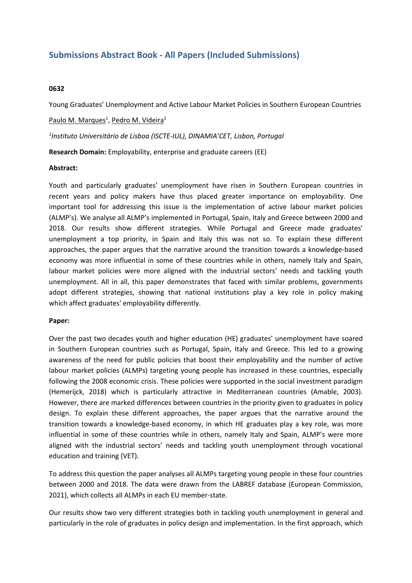# **Submissions Abstract Book - All Papers (Included Submissions)**

### **0632**

Young Graduates' Unemployment and Active Labour Market Policies in Southern European Countries

<u>Paulo M. Marques<sup>1</sup>, Pedro M. Videira<sup>1</sup></u>

*1 Instituto Universitário de Lisboa (ISCTE-IUL), DINAMIA'CET, Lisbon, Portugal*

**Research Domain:** Employability, enterprise and graduate careers (EE)

#### **Abstract:**

Youth and particularly graduates' unemployment have risen in Southern European countries in recent years and policy makers have thus placed greater importance on employability. One important tool for addressing this issue is the implementation of active labour market policies (ALMP's). We analyse all ALMP's implemented in Portugal, Spain, Italy and Greece between 2000 and 2018. Our results show different strategies. While Portugal and Greece made graduates' unemployment <sup>a</sup> top priority, in Spain and Italy this was not so. To explain these different approaches, the paper argues that the narrative around the transition towards <sup>a</sup> knowledge-based economy was more influential in some of these countries while in others, namely Italy and Spain, labour market policies were more aligned with the industrial sectors' needs and tackling youth unemployment. All in all, this paper demonstrates that faced with similar problems, governments adopt different strategies, showing that national institutions play <sup>a</sup> key role in policy making which affect graduates' employability differently.

## **Paper:**

Over the past two decades youth and higher education (HE) graduates' unemployment have soared in Southern European countries such as Portugal, Spain, Italy and Greece. This led to <sup>a</sup> growing awareness of the need for public policies that boost their employability and the number of active labour market policies (ALMPs) targeting young people has increased in these countries, especially following the 2008 economic crisis. These policies were supported in the social investment paradigm (Hemerijck, 2018) which is particularly attractive in Mediterranean countries (Amable, 2003). However, there are marked differences between countries in the priority given to graduates in policy design. To explain these different approaches, the paper argues that the narrative around the transition towards <sup>a</sup> knowledge-based economy, in which HE graduates play <sup>a</sup> key role, was more influential in some of these countries while in others, namely Italy and Spain, ALMP's were more aligned with the industrial sectors' needs and tackling youth unemployment through vocational education and training (VET).

To address this question the paper analyses all ALMPs targeting young people in these four countries between 2000 and 2018. The data were drawn from the LABREF database (European Commission, 2021), which collects all ALMPs in each EU member-state.

Our results show two very different strategies both in tackling youth unemployment in general and particularly in the role of graduates in policy design and implementation. In the first approach, which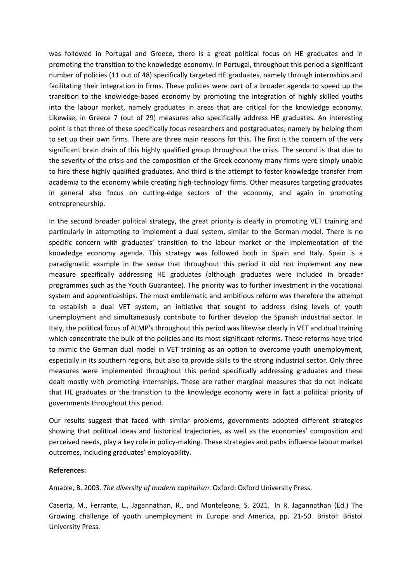was followed in Portugal and Greece, there is <sup>a</sup> great political focus on HE graduates and in promoting the transition to the knowledge economy. In Portugal, throughout this period <sup>a</sup> significant number of policies (11 out of 48) specifically targeted HE graduates, namely through internships and facilitating their integration in firms. These policies were part of <sup>a</sup> broader agenda to speed up the transition to the knowledge-based economy by promoting the integration of highly skilled youths into the labour market, namely graduates in areas that are critical for the knowledge economy. Likewise, in Greece 7 (out of 29) measures also specifically address HE graduates. An interesting point is that three of these specifically focus researchers and postgraduates, namely by helping them to set up their own firms. There are three main reasons for this. The first is the concern of the very significant brain drain of this highly qualified group throughout the crisis. The second is that due to the severity of the crisis and the composition of the Greek economy many firms were simply unable to hire these highly qualified graduates. And third is the attempt to foster knowledge transfer from academia to the economy while creating high-technology firms. Other measures targeting graduates in general also focus on cutting-edge sectors of the economy, and again in promoting entrepreneurship.

In the second broader political strategy, the great priority is clearly in promoting VET training and particularly in attempting to implement <sup>a</sup> dual system, similar to the German model. There is no specific concern with graduates' transition to the labour market or the implementation of the knowledge economy agenda. This strategy was followed both in Spain and Italy. Spain is <sup>a</sup> paradigmatic example in the sense that throughout this period it did not implement any new measure specifically addressing HE graduates (although graduates were included in broader programmes such as the Youth Guarantee). The priority was to further investment in the vocational system and apprenticeships. The most emblematic and ambitious reform was therefore the attempt to establish <sup>a</sup> dual VET system, an initiative that sought to address rising levels of youth unemployment and simultaneously contribute to further develop the Spanish industrial sector. In Italy, the political focus of ALMP's throughout this period was likewise clearly in VET and dual training which concentrate the bulk of the policies and its most significant reforms. These reforms have tried to mimic the German dual model in VET training as an option to overcome youth unemployment, especially in its southern regions, but also to provide skills to the strong industrial sector. Only three measures were implemented throughout this period specifically addressing graduates and these dealt mostly with promoting internships. These are rather marginal measures that do not indicate that HE graduates or the transition to the knowledge economy were in fact <sup>a</sup> political priority of governments throughout this period.

Our results suggest that faced with similar problems, governments adopted different strategies showing that political ideas and historical trajectories, as well as the economies' composition and perceived needs, play <sup>a</sup> key role in policy-making. These strategies and paths influence labour market outcomes, including graduates' employability.

## **References:**

Amable, B. 2003. *The diversity of modern capitalism*. Oxford: Oxford University Press.

Caserta, M., Ferrante, L., Jagannathan, R., and Monteleone, S. 2021. In R. Jagannathan (Ed.) The Growing challenge of youth unemployment in Europe and America, pp. 21-50. Bristol: Bristol University Press.